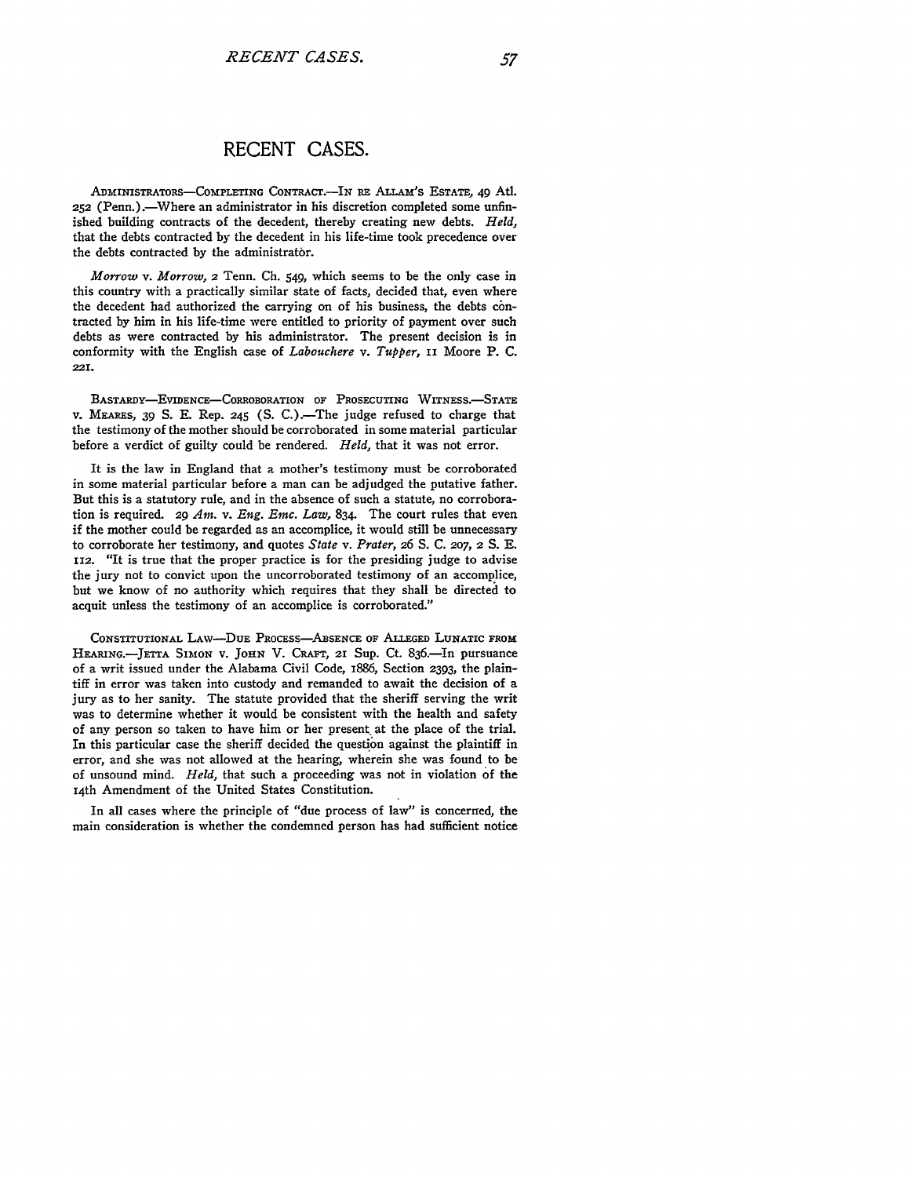## **RECENT CASES.**

ADnmINISTRATORS-COMPLETING CONTRAC.-IN RE ALLAm'S **ESTATE,** 49 Atl. **252** (Penn.).-Where an administrator in his discretion completed some unfinished building contracts of the decedent, thereby creating new debts. *Held,* that the debts contracted by the decedent in his life-time took precedence over the debts contracted by the administrator.

*Morrow v. Morrow,* 2 Tenn. **Ch.** 549, which seems to be the only case in this country with a practically similar state of facts, decided that, even where the decedent had authorized the carrying on of his business, the debts contracted by him in his life-time were entitled to priority of payment over such debts as were contracted by his administrator. The present decision is in conformity with the English case of *Labouchere v. Tupper,* **ii** Moore P. **C. 221.**

BASTARDY-EVIDENCE-CORROBORATION **OF PROSECUTING** WITNESS.-STATE V. MEARES, 39 **S.** E. Rep. 245 **(S.** C.).-The judge refused to charge that the testimony of the mother should be corroborated in some material particular before a verdict of guilty could be rendered. *Held,* that it was not error.

It is the law in England that a mother's testimony must be corroborated in some material particular before a man can be adjudged the putative father. But this is a statutory rule, and in the absence of such a statute, no corroboration is required. **29** *Am. v. Eng. Emc. Law,* 834. The court rules that even if the mother could be regarded as an accomplice, it would still be unnecessary to corroborate her testimony, and quotes *State v. Prater,* **26** S. C. *207,* **2** S. E. 112. "It is true that the proper practice is for the presiding judge to advise the jury not to convict upon the uncorroborated testimony of an accomplice, but we know of no authority which requires that they shall be directed to acquit unless the testimony of an accomplice is corroborated."

**CONSTITUTIONAL** LAw-DuE PRoCESs-ABSENCE OF **ALLEGED LUNATIC FROM** HEARING.-JETTA SIMON V. JOHN V. CRAFT, 2I Sup. Ct. 836.-In pursuance of a writ issued under the Alabama Civil Code, 1886, Section **2393,** the plaintiff in error was taken into custody and remanded to await the decision of a jury as to her sanity. The statute provided that the sheriff serving the writ was to determine whether it would be consistent with the health and safety of any person so taken to have him or her present, at the place of the trial. In this particular case the sheriff decided the question against the plaintiff in error, and she was not allowed at the hearing, wherein she was found to be of unsound mind. *Held,* that such a proceeding was not in violation of the 14th Amendment of the United States Constitution.

In all cases where the principle of "due process of law" is concerned, the main consideration is whether the condemned person has had sufficient notice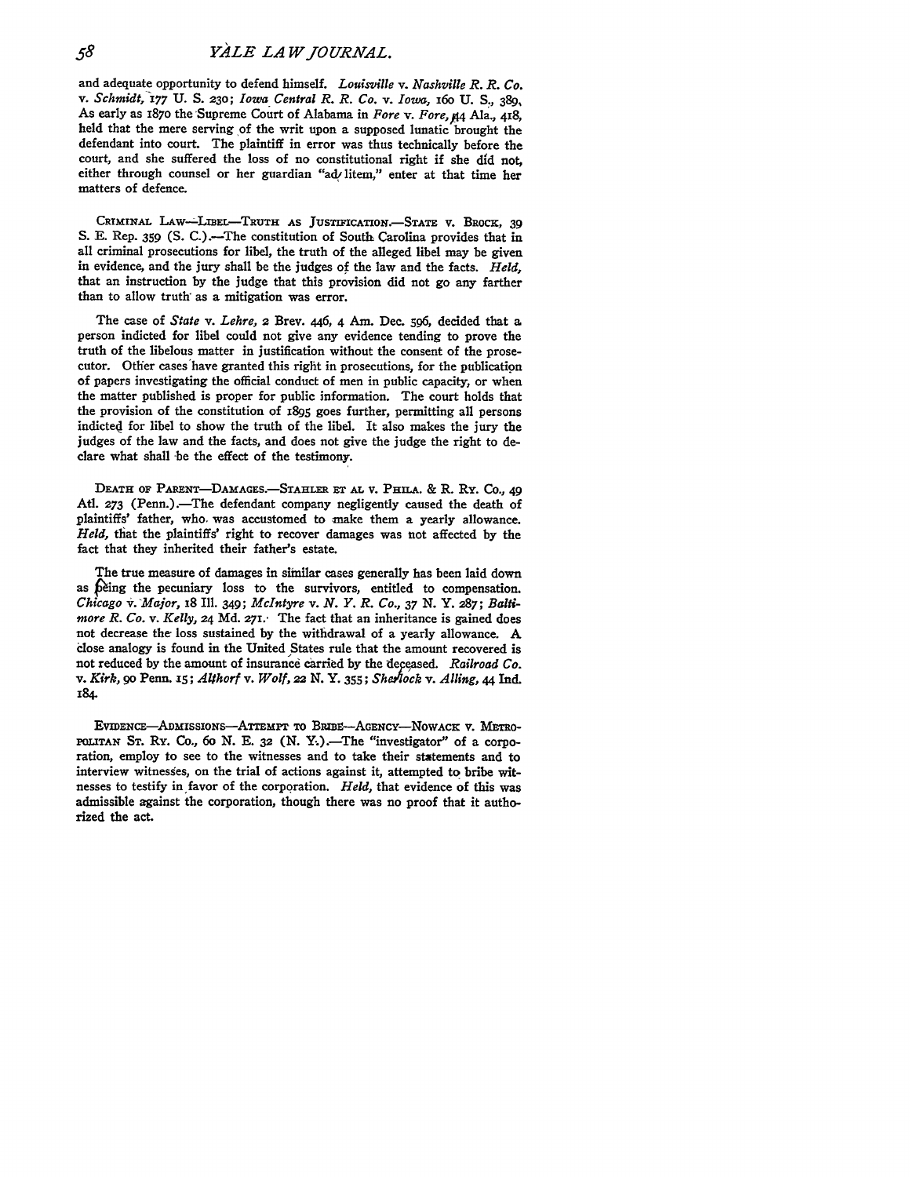and adequate opportunity to defend himself. *Louisville v. Nashville R. R. Co. v. Schmidt,* 177 **U. S.** *230; Iowa Central R. R. Co. v. Iowa,* 16o **U.** *S.,* 389, As early as 1870 the Supreme Court of Alabama in *Fore v. Fore, AA* Ala., 418, held that the mere serving of the writ upon a supposed lunatic brought the defendant into court. The plaintiff in error was thus technically before the court, and she suffered the loss of no constitutional right if she **did** not, either through counsel or her guardian "ad litem," enter at that time her matters of defence.

CRIMINAL LAw-LBEL-TRuTH **AS** JUsTIFIcATIoN.-STATE **V. BROCH,** *39* **S. E.** Rep. **359 (S.** C.).-The constitution of South Carolina provides that in all criminal prosecutions for libel, the truth of the alleged libel may be given in evidence, and the jury shall be the judges of the law and the facts. *Held,* that an instruction **by** the judge that this provision did not go any farther than to allow truth: as a mitigation was error.

The case of *State v. Lehre,* 2 Brev. 446, 4 Am. Dec. **596,** decided that a person indicted for libel could not give any evidence tending to prove the truth of the libelous matter in justification without the consent of the prosecutor. Other cases have granted this right in prosecutions, for the publication of papers investigating the official conduct of men in public capacity, or when the matter published is proper for public information. The court holds that the provision of the constitution of I895 goes further, permitting all persons indicted for libel to show the truth of the libel. It also makes the jury the judges of the law and the facts, and does not give the judge the right to declare what shall be the effect of the testimony.

**DEATH** OF PARENT-DAMAGES.-STAHLER **ET AL** V. PHILA. **&** R. Ry. Co., 49 Atl. 273 (Penn.).-The defendant company negligently caused the death of plaintiffs' father, who. was accustomed to make them a yearly allowance. *Held,* that the plaintiffs' right to recover damages was not affected **by** the fact that they inherited their father's estate.

The true measure of damages in similar cases generally has been laid down as being the pecuniary loss to the survivors, entitled to compensation. *Chicago v. Major,* 18 Ill. 349; *McIntyre v. N. Y. R. Co.,* **37** *N.* Y. **287;** *Baltimore R. Co. v. Kelly,* 24 **Md.** 271. The fact that an inheritance is gained does not decrease the loss sustained by the withdrawal of a yearly allowance. A close analogy is found in the United States rule that the amount recovered is not reduced **by** the amount of insurance carried **by** the depeased. *Railroad Co. v. Kirk, go* Penn. **xS;** *Althorf v. Wolf, 22* **N. Y. 355;** *She-hock v. Ailing, 44* Ind. *184.*

EVIDENCE-ADmI5SIONS--ATTEMPT **To** BRIBI-AGENcY-NOWACK v. METRO-POLITAN ST. Ry. Co., 60 N. E. 32 (N. Y.).—The "investigator" of a corporation, employ to see to the witnesses and to take their statements and to interview witnesses, on the trial of actions against it, attempted to bribe witnesses to testify in favor of the corporation. *Held,* that evidence of this was admissible against the corporation, though there was no proof that it authorized the act.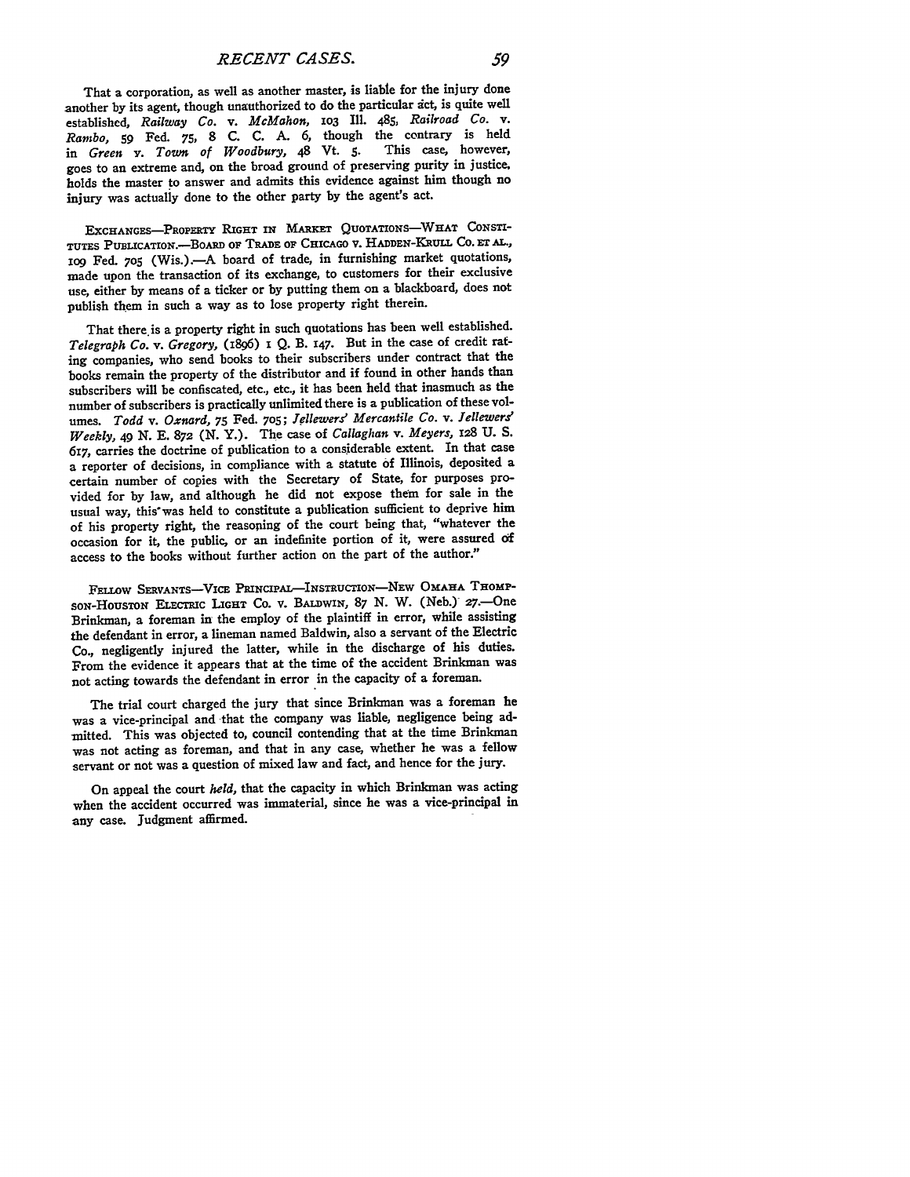That a corporation, as well as another master, is liable for the injury done another by its agent, though unauthorized to do the particular act, is quite well established, *Railway Co. v. McMahon,* **1o3** Ill. 485, *Railroad Co. v. Rambo,* **59** Fed. **75, 8 C. C. A. 6,** though the contrary is held in *Green v. Town of Woodbury, 48 Vt. 5.* goes to an extreme and, on the broad ground of preserving purity in justice, holds the master **to** answer and admits this evidence against him though no injury was actually done to the other party **by** the agent's act.

EXCHANGES-PROPERTY RIGHT IN MARKET QUOTATIONS-WHAT CONSTI-**TUTES PUBLICATION.-BoARD OF TRADE OF CHICAGO** v. **HADDEN-KRULL** Co. **ET AL., Iog** Fed. **705** (Wis.).-A board of trade, in furnishing market quotations, made upon the transaction of its exchange, to customers for their exclusive use, either **by** means of a ticker or **by** putting them on a blackboard, does not publish them in such a way as to lose property right therein.

That there is a property right in such quotations has been well established. *Telegraph Co. v. Gregory,* **(I896) i** *Q.* B. **x47.** But in the case of credit rating companies, who send books to their subscribers under contract that the books remain the property of the distributor and if found in other hands than subscribers will be confiscated, etc., etc., it has been held that inasmuch as the number of subscribers is practically unlimited there is a publication of these volumes. *Todd v. Oxnard,* **75** Fed. **705;** *Iellewers' Mercantile Co. v. Jellewers' Weekly,* 49 **N. E. 872 (N.** Y.). The case of *Callaghan v. Meyers,* **128 U. S.** 617, carries the doctrine of publication to a considerable extent. In that case a reporter of decisions, in compliance with a statute **of** Illinois, deposited a certain number of copies with the Secretary of State, for purposes provided for **by** law, and although he did not expose them for sale in the usual way, this'was held to constitute a publication sufficient to deprive him of his property right, the reasoping of the court being that, "whatever the occasion for it, the public, or an indefinite portion of it, were assured **oif** access to the books without further action on the part of the author."

FELLOW SERVANTS-VICE PRINCIPAL-INSTRUCTION-NEW OMAHA THOMP-**SoN-HousToN ELECTRIC LIGHT** Co. v. **BALDwIN, 87 N.** W. (Neb.) 27.-One Brinkman, a foreman in the employ of the plaintiff in error, while assisting the defendant in error, a lineman named Baldwin, also a servant of the Electric Co., negligently injured the latter, while in the discharge of his duties. From the evidence it appears that at the time of the accident Brinkman was not acting towards the defendant in error in the capacity of a foreman.

The trial court charged the jury that since Brinkman was a foreman he was a vice-principal and that the company was liable, negligence being admitted. This was objected to, council contending that at the time Brinkman was not acting as foreman, and that in any case, whether he was a fellow servant or not was a question of mixed law and fact, and hence for the jury.

On appeal the court *held,* that the capacity in which Brinkman was acting when the accident occurred was immaterial, since he was a vice-principal in any case. Judgment affirmed.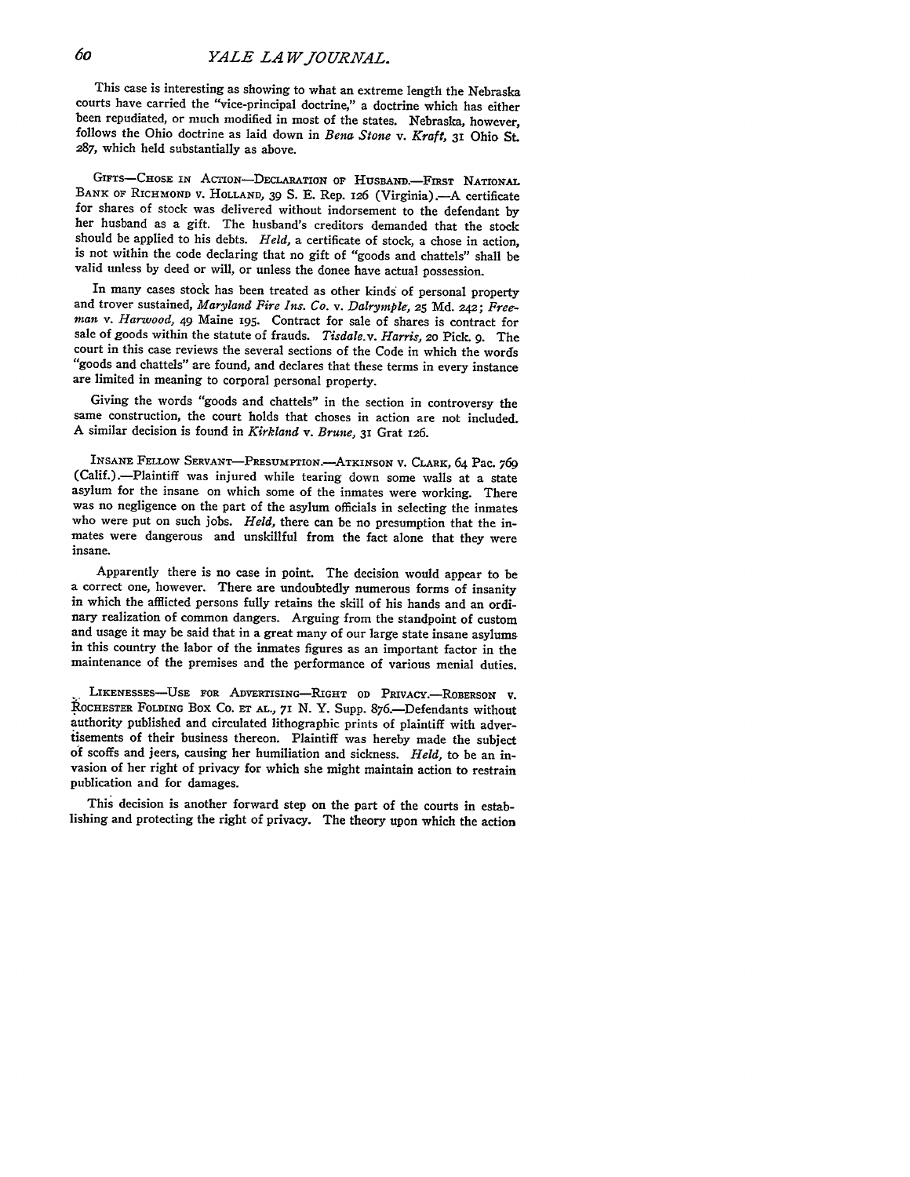This case is interesting as showing to what an extreme length the Nebraska courts have carried the "vice-principal doctrine," a doctrine which has either been repudiated, or much modified in most of the states. Nebraska, however, follows the Ohio doctrine as laid down in *Bena Stone v. Kraft, 31* Ohio St. 287, which held substantially as above.

GIFTS-CHOSE IN ACTION-DECLARATION OF HUSBAND.-FIRST NATIONAL **BANK OF** RICHMOND V. **HOLLAND, 39 S. E.** Rep. 126 (Virginia) **.- A** certificate for shares of stock was delivered without indorsement to the defendant by her husband as a gift. The husband's creditors demanded that the stock should be applied to his debts. *Held,* a certificate of stock, a chose in action, is not within the code declaring that no gift of "goods and chattels" shall be valid unless **by** deed or will, or unless the donee have actual possession.

In many cases stock has been treated as other kinds of personal property and trover sustained, *Maryland Fire Ins. Co. v. Dalrymple,* **25 Md.** 242; *Freeman* v. *Harwood, 49* Maine 195. Contract for sale of shares is contract for sale of goods within the statute of frauds. *Tisdale.v. Harris,* **20** Pick. *9.* The court in this case reviews the several sections of the Code in which the words "goods and chattels" are found, and declares that these terms in every instance are limited in meaning to corporal personal property.

Giving the words "goods and chattels" in the section in controversy the same construction, the court holds that choses in action are not included. A similar decision is found in *Kirkland v. Brune,* 31 Grat 126.

**INSANE** FELLOW SERVANT-PRESUMPTION.-ATKINSoN v. CLARK, 64 Pac. *769* (Calif.).-Plaintiff was injured while tearing down some walls at a state asylum for the insane on which some of the inmates were working. There was no negligence on the part of the asylum officials in selecting the inmates who were put on such jobs. *Held*, there can be no presumption that the inmates were dangerous and unskillful from the fact alone that they were insane.

Apparently there is no case in point. The decision would appear to be a correct one, however. There are undoubtedly numerous forms of insanity in which the afflicted persons fully retains the skill of his hands and an ordinary realization of common dangers. Arguing from the standpoint of custom and usage it may be said that in a great many of our large state insane asylums in this country the labor of the inmates figures as an important factor in the maintenance of the premises and the performance of various menial duties.

LIKENESSES-USE FOR ADVERTISING-RIGHT OD PRIVACY.-ROBERSON V. **ROCHESTER** FOLDING BOX Co. *ET* **AL., 71 N.** Y. Supp. 876.-Defendants without authority published and circulated lithographic prints of plaintiff with advertisements of their business thereon. Plaintiff was hereby made the subject of scoffs and jeers, causing her humiliation and sickness. *Held,* to be an invasion of her right of privacy for which she might maintain action to restrain publication and for damages.

This decision is another forward step on the part of the courts in establishing and protecting the right of privacy. The theory upon which the action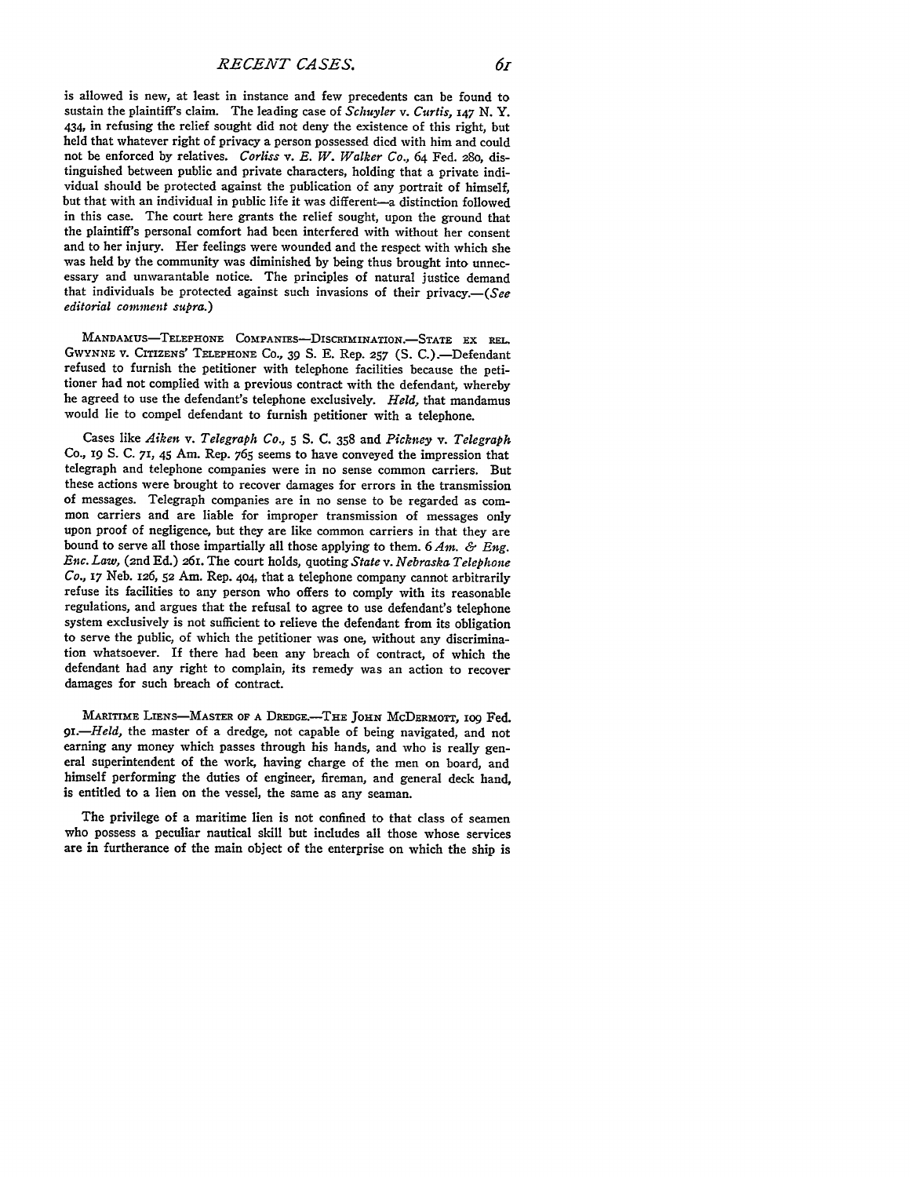*RECENT CASES. 61*

is allowed is new, at least in instance and few precedents can be found to sustain the plaintiff's claim. The leading case of *Schuyler v. Curtis, 147* **N.** Y. 434, in refusing the relief sought did not deny the existence of this right, but held that whatever right of privacy a person possessed died with him and could not be enforced **by** relatives. *Corliss v. E. W. Walker Co.,* 64 Fed. 28o, distinguished between public and private characters, holding that a private individual should be protected against the publication of any portrait of himself, but that with an individual in public life it was different-a distinction followed in this case. The court here grants the relief sought, upon the ground that the plaintiff's personal comfort had been interfered with without her consent and to her injury. Her feelings were wounded and the respect with which she was held by the community was diminished by being thus brought into unnecessary and unwarantable notice. The principles of natural justice demand that individuals be protected against such invasions of their privacy. $-(See$ *editorial comment supra.)*

MANDAmus-TELEPHONE COMPANIES-DIsCRIMINATION.-STATE EX **REL.** GWYNNE V. CrIIZENs' **TELEPHONE** CO., 39 S. E. Rep. **257** (S. C.)-Defendant refused to furnish the petitioner with telephone facilities because the petitioner had not complied with a previous contract with the defendant, whereby he agreed to use the defendant's telephone exclusively. *Held,* that mandamus would lie to compel defendant to furnish petitioner with a telephone.

Cases like *Aiken v. Telegraph Co.,* 5 S. **C.** 358 and *Pickney v. Telegraph* Co., *19* **S. C.** 71, **45** Am. Rep. 765 seems to have conveyed the impression that telegraph and telephone companies were in no sense common carriers. But these actions were brought to recover damages for errors in the transmission of messages. Telegraph companies are in no sense to be regarded as common carriers and are liable for improper transmission of messages only upon proof of negligence, but they are like common carriers in that they are bound to serve all those impartially all those applying to them. 6 *Am. & Eng. Enc. Law,* (2nd Ed.) 261. The court holds, quoting *State v. Nebraska Telephone Co.,* 17 Neb. 126, **52** Am. Rep. **4o4,** that a telephone company cannot arbitrarily refuse its facilities to any person who offers to comply with its reasonable regulations, and argues that the refusal to agree to use defendant's telephone system exclusively is not sufficient to relieve the defendant from its obligation to serve the public, of which the petitioner was one, without any discrimination whatsoever. If there had been any breach of contract, of which the defendant had any right to complain, its remedy was an action to recover damages for such breach of contract.

MARITIME LIENS-MASTER OF A DREDGE.-- THE JOHN MCDERMOTT, 109 Fed. *9.-Held,* the master of a dredge, not capable of being navigated, and not earning any money which passes through his hands, and who is really general superintendent of the work, having charge of the men on board, and himself performing the duties of engineer, fireman, and general deck hand, is entitled to a lien on the vessel, the same as any seaman.

The privilege of a maritime lien is not confined to that class of seamen who possess a peculiar nautical skill **but** includes all those whose services are in furtherance of the main object of the enterprise on which the ship is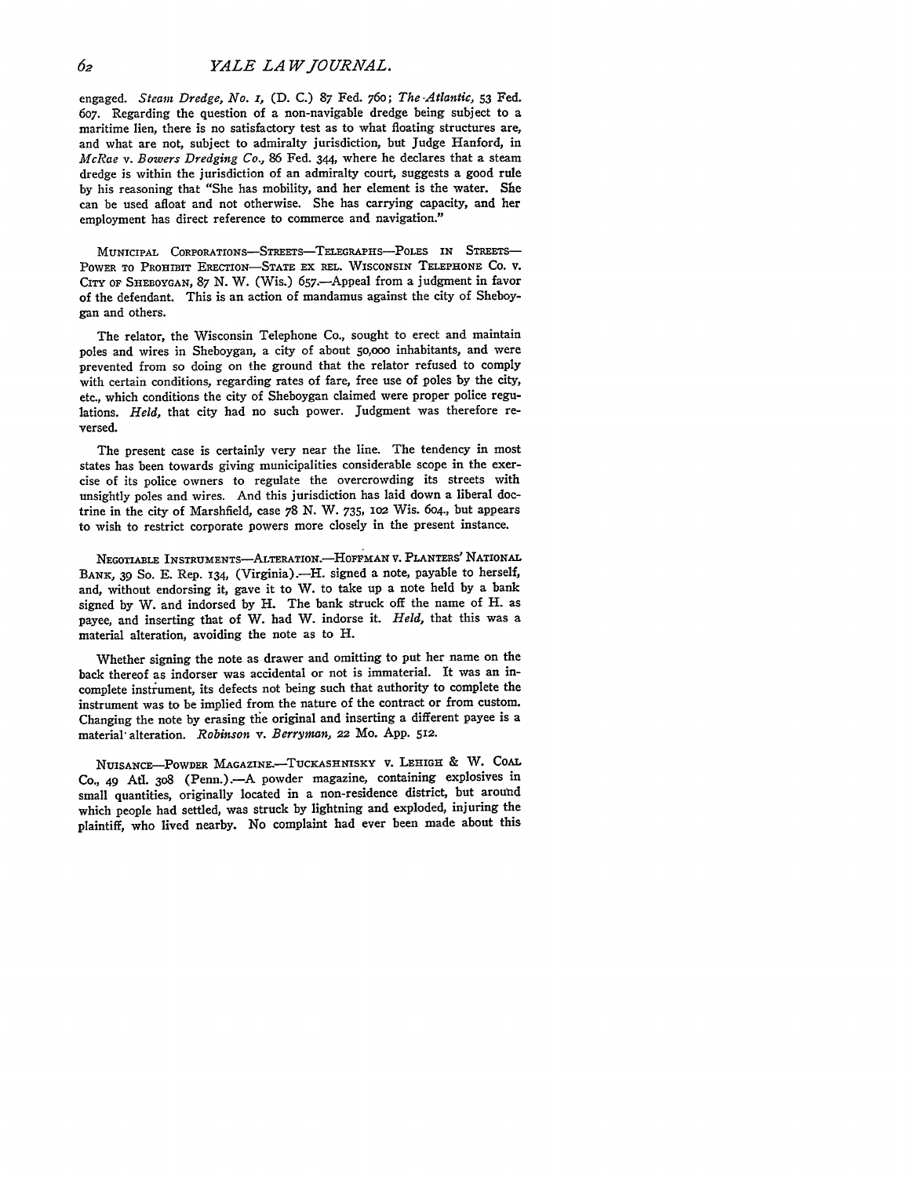engaged. *Steam Dredge, No. s,* **(D. C.)** 87 Fed. 76o; *The -Atlantic,* **53** Fed. **607.** Regarding the question of a non-navigable dredge being subject to a maritime lien, there is no satisfactory test as to what floating structures are, and what are not, subject to admiralty jurisdiction, but Judge Hanford, in *McRae v. Bowers Dredging Co.,* 86 Fed. 344, where he declares that a steam dredge is within the jurisdiction of an admiralty court, suggests a good rule by his reasoning that "She has mobility, and her element is the water. She can be used afloat and not otherwise. She has carrying capacity, and her employment has direct reference to commerce and navigation."

MUNICIPAL CORPORATIONS-STREETS-TELEGRAPHS-POLES IN STREETS-POWER TO PROHIBIT ERECTION-STATE EX **REL.** WISCONSIN **TELEPHONE CO.** V. CITY OF SHEBOYGAN, **87** N. W. (Wis.) 657.-Appeal from a judgment in favor of the defendant. This is an action of mandamus against the city of Sheboygan and others.

The relator, the Wisconsin Telephone Co., sought to erect and maintain poles and wires in Sheboygan, a city of about **50,000** inhabitants, and were prevented from so doing on the ground that the relator refused to comply with certain conditions, regarding rates of fare, free use of poles **by** the city, etc., which conditions the city of Sheboygan claimed were proper police regulations. *Held,* that city had no such power. Judgment was therefore reversed.

The present case is certainly very near the line. The tendency in most states has been towards giving municipalities considerable scope in the exercise of its police owners to regulate the overcrowding its streets with unsightly poles and wires. And this jurisdiction has laid down a liberal doctrine in the city of Marshfield, case 78 **N.** W. 735, **io2** Wis. 6o4., but appears to wish to restrict corporate powers more closely in the present instance.

NEGOTIABLE **INSTRUMENTS-ALTERATION.-HOFFMAN** V. PLANTERS' NATIONAL BANK, 39 So. E. Rep. 134, (Virginia).-H. signed a note, payable to herself, and, without endorsing it, gave it to W. to take up a note held by a bank signed by W. and indorsed by H. The bank struck off the name of H. as payee, and inserting that of W. had W. indorse it. *Held,* that this was a material alteration, avoiding the note as to H.

Whether signing the note as drawer and omitting to put her name on the back thereof as indorser was accidental or not is immaterial. It was an incomplete instrument, its defects not being such that authority to complete the instrument was to be implied from the nature of the contract or from custom. Changing the note by erasing the original and inserting a different payee is a material- alteration. *Robinson v. Berryman, 22* Mo. **App.** 512.

**NUISANCE-PowDER MAGAzINE.-TucKASHNISKY** v. LEHIGH & W. COAL Co., 49 At. 3o8 (Penn.).-A powder magazine, containing explosives in small quantities, originally located in a non-residence district, but around which people had settled, was struck by lightning and exploded, injuring the plaintiff, who lived nearby. No complaint had ever been made about this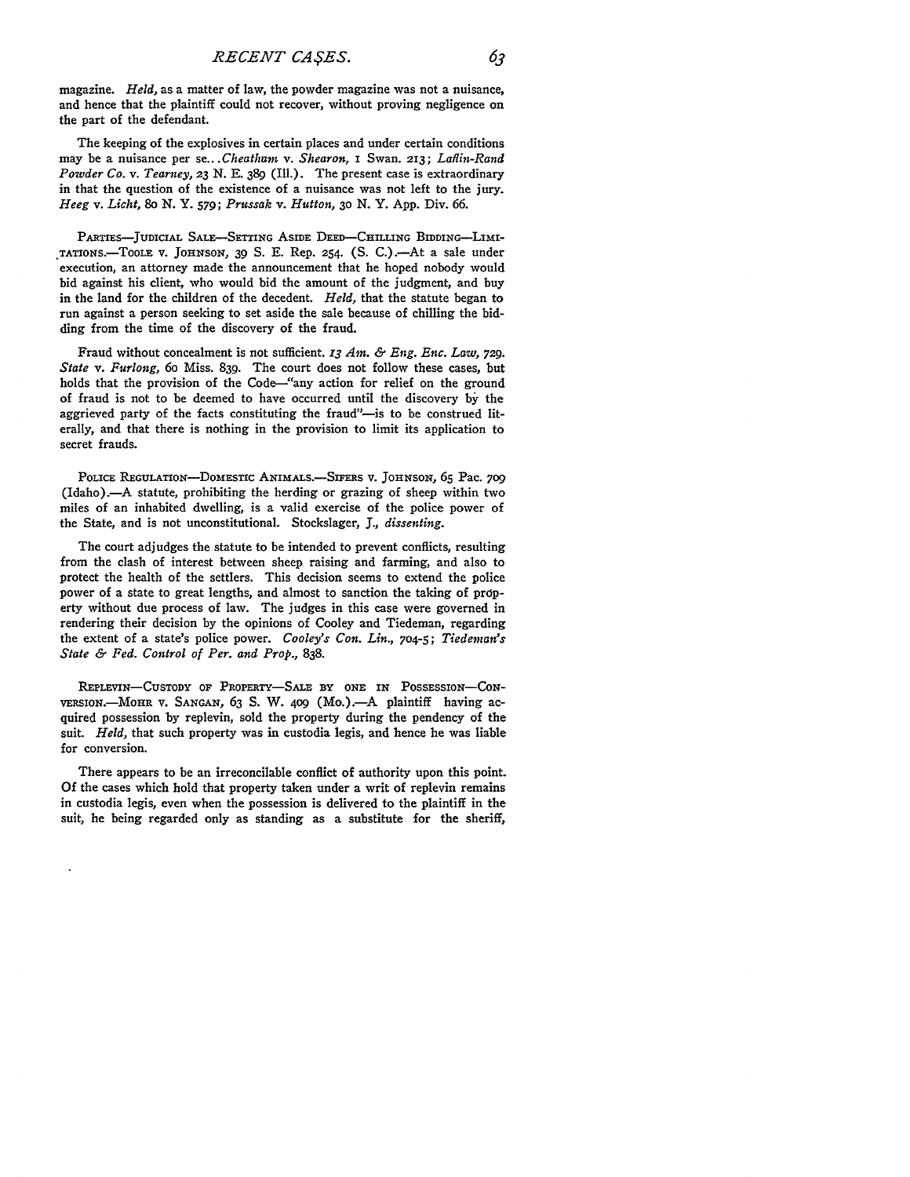63

magazine. *Held,* as a matter of law, the powder magazine was not a nuisance, and hence that the plaintiff could not recover, without proving negligence on the part of the defendant.

The keeping of the explosives in certain places and under certain conditions may be a nuisance per *se...Cheatltam v. Shearon,* I Swan. **213;** *Laflin-Rand Powder Co. v. Tearney, 23* N. E. 389 (Ill.). The present case is extraordinary in that the question of the existence of a nuisance was not left to the jury. *Heeg v. Licht, 8o* **N.** Y. **579;** *Prussak v. Hutton, 3o* **N.** Y. App. Div. **66.**

PARTIES-JUDICIAL **SALE-SETTING** ASIDE **DEED-CHILLING** BIDDING--LIMI- **.TATION.-TooLE** v. **JOHNSON, 39 S. E.** Rep. **254. (S.** C..-At a sale under execution, an attorney made the announcement that he hoped nobody would bid against his client, who would bid the amount of the judgment, and buy in the land for the children of the decedent. *Held,* that the statute began to run against a person seeking to set aside the sale because of chilling the bidding from the time of the discovery of the fraud.

Fraud without concealment is not sufficient. *13 Am. & Eng. Enc. Law,* **729.** *State v. Furlong,* 6o Miss. 839. The court does not follow these cases, but holds that the provision of the Code-"any action for relief on the ground of fraud is not to be deemed to have occurred until the discovery **by** the aggrieved party of the facts constituting the fraud"-is to be construed literally, and that there is nothing in the provision to limit its application to secret frauds.

POLICE REGULATION-DOMESTIC ANIMALS.-SIFERS V. JOHNSON, 65 Pac. 709 (Idaho).-A statute, prohibiting the herding or grazing of sheep within two miles of an inhabited dwelling, is a valid exercise of the police power of the State, and is not unconstitutional. Stockslager, **J.,** *dissenting.*

The court adjudges the statute to be intended to prevent conflicts, resulting from the clash of interest between sheep raising and farming, and also to protect the health of the settlers. This decision seems to extend the police power of a state to great lengths, and almost to sanction the taking of property without due process of law. The judges in this case were governed in rendering their decision **by** the opinions of Cooley and Tiedeman, regarding the extent of a state's police power. *Cooley's Con. Lin.,* 704-5; *Tiedeman's State & Fed. Control of Per. and Prop.,* **838.**

**REPLEVIN-CusTODY OF PROPERTY-SALE** BY **ONE IN POSSESSION-CoN-**VERSION.-MOHR **V. SANGAN,** 63 **S.** W. **4o9** (Mo.)-A plaintiff having acquired possession **by** replevin, sold the property during the pendency of the suit. *Held,* that such property was in custodia legis, and hence he was liable for conversion.

There appears to be an irreconcilable conflict of authority upon this point. Of the cases which hold that property taken under a writ of replevin remains in custodia legis, even when the possession is delivered to the plaintiff in the suit, he being regarded only as standing as a substitute for the sheriff,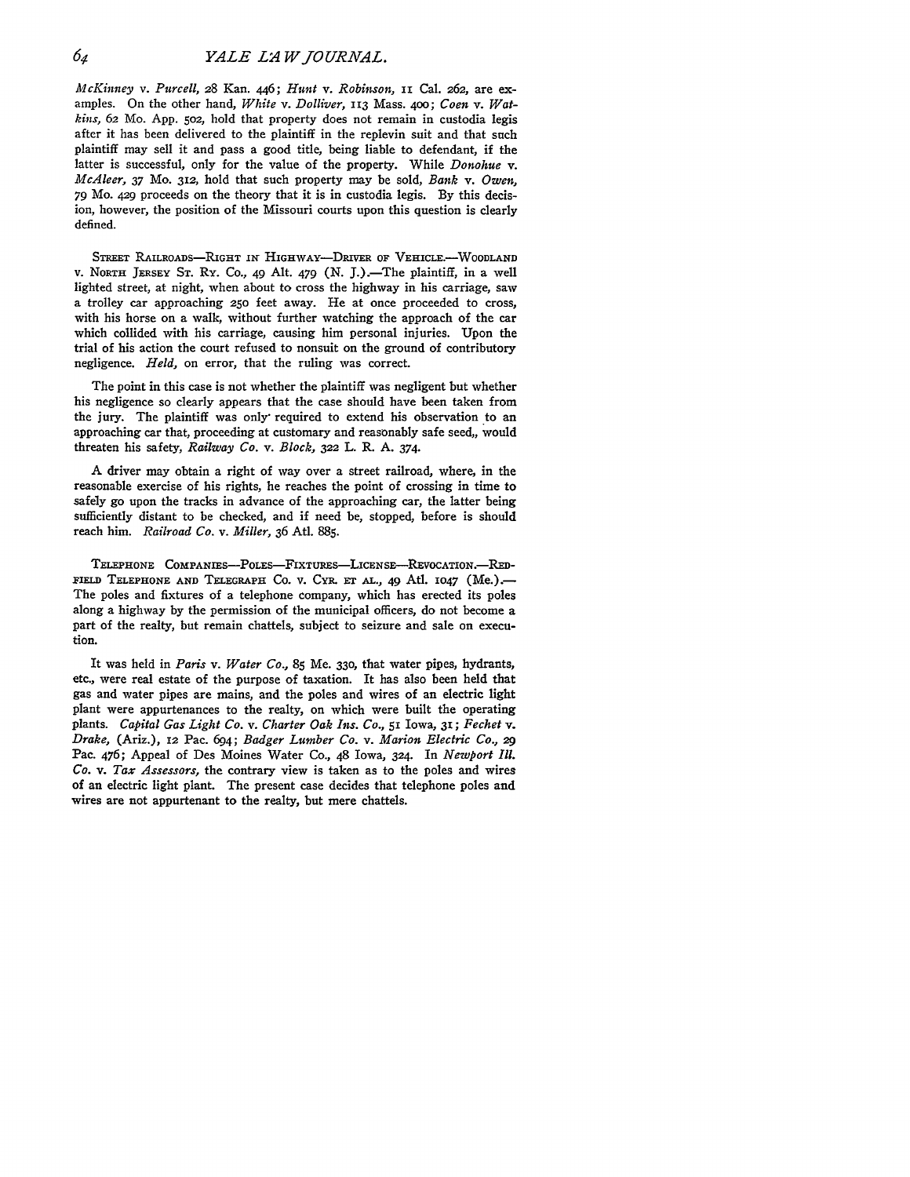*McKinney v. Purcell,* 28 Kan. 446; *Hunt v. Robinson,* **ixi** Cal. **262,** are examples. On the other hand, *White v. Dolliver,* 113 Mass. 4oo; *Coen v. Watkhis,* 62 Mo. App. 5o2, hold that property does not remain in custodia legis after it has been delivered to the plaintiff in the replevin suit and that such plaintiff may sell it and pass a good title, being liable to defendant, if the latter is successful, only for the value of the property. While *Donohue v. McAleer, 37* Mo. 312, hold that such property may be sold, *Bank v. Owen,* 79 Mo. 429 proceeds on the theory that it is in custodia legis. **By** this decision, however, the position of the Missouri courts upon this question is clearly defined.

**STREET RAILROADS-RIGHT** *in* **HIGHWAY-DRIVER OF VEHICLE.-WOODLAND V.** NORTH JERSEY **ST. RY.** Co., 49 Alt. 479 (N. J.).-The plaintiff, in a well lighted street, at night, when about to cross the highway in his carriage, saw a trolley car approaching **250** feet away. He at once proceeded to cross, with his horse on a walk, without further watching the approach of the car which collided with his carriage, causing him personal injuries. Upon the trial of his action the court refused to nonsuit on the ground of contributory negligence. *Held,* on error, that the ruling was correct.

The point in this case is not whether the plaintiff was negligent but whether his negligence so clearly appears that the case should have been taken from the jury. The plaintiff was only- required to extend his observation to an approaching car that, proceeding at customary and reasonably safe seed,, would threaten his safety, *Railway Co. v. Block,* **322** L. R. **A.** 374.

A driver may obtain a right of way over a street railroad, where, in the reasonable exercise of his rights, he reaches the point of crossing in time to safely go upon the tracks in advance of the approaching car, the latter being sufficiently distant to be checked, and if need be, stopped, before is should reach him. *Railroad Co. v. Miller,* 36 Atl. 885.

**TELEPHONE COMPANIEs-PoLEs-FIxTuREs-LIcENsE-REvocATIoN.-RED-**FIELD TELEPHONE AND TELEGRAPH Co. v. CYR. ET AL., 49 Atl. 1047 (Me.). The poles and fixtures of a telephone company, which has erected its poles along a highway by the permission of the municipal officers, do not become a part of the realty, but remain chattels, subject to seizure and sale on execution.

It was held in *Paris v. Water Co.,* **85** Me. **330,** that water pipes, hydrants, etc., were real estate of the purpose of taxation. It has also been held that gas and water pipes are mains, and the poles and wires of an electric light plant were appurtenances to the realty, on which were built the operating plants. *Capital Gas Light Co. v. Charter Oak Ins. Co., 51* Iowa, **31;** *Fechet v. Drake,* (Ariz.), **12** Pac. 694; *Badger Lumber Co. v. Marion Electric Co., 29* Pac. 476; Appeal of Des Moines Water Co., 48 Iowa, 324. In *Newport Ill. Co. v. Tax Assessors,* the contrary view is taken as to the poles and wires of an electric light plant. The present case decides that telephone poles and wires are not appurtenant to the realty, but mere chattels.